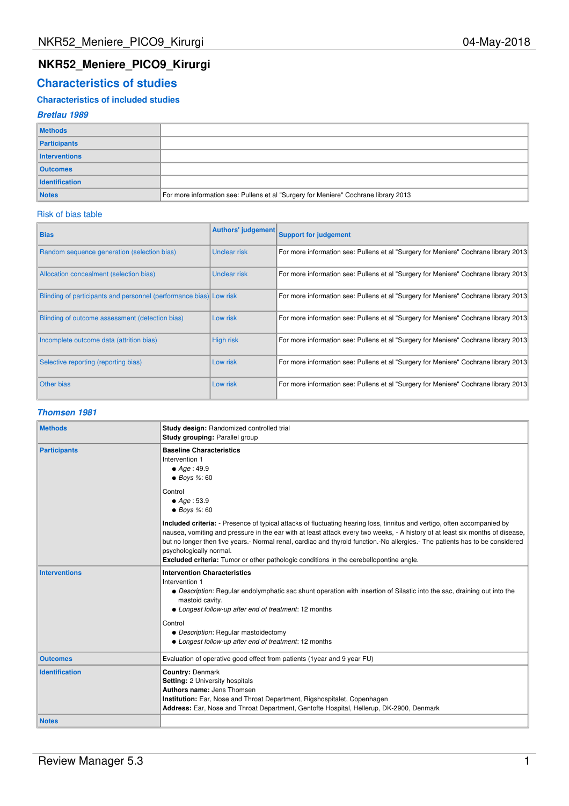# **NKR52\_Meniere\_PICO9\_Kirurgi**

# **Characteristics of studies**

## **Characteristics of included studies**

## **Bretlau 1989**

| <b>Methods</b>        |                                                                                     |
|-----------------------|-------------------------------------------------------------------------------------|
| Participants          |                                                                                     |
| Interventions         |                                                                                     |
| <b>Outcomes</b>       |                                                                                     |
| <b>Identification</b> |                                                                                     |
| <b>Notes</b>          | For more information see: Pullens et al "Surgery for Meniere" Cochrane library 2013 |

### Risk of bias table

| <b>Bias</b>                                                        |                  | Authors' judgement Support for judgement                                            |
|--------------------------------------------------------------------|------------------|-------------------------------------------------------------------------------------|
| Random sequence generation (selection bias)                        | Unclear risk     | For more information see: Pullens et al "Surgery for Meniere" Cochrane library 2013 |
| Allocation concealment (selection bias)                            | Unclear risk     | For more information see: Pullens et al "Surgery for Meniere" Cochrane library 2013 |
| Blinding of participants and personnel (performance bias) Low risk |                  | For more information see: Pullens et al "Surgery for Meniere" Cochrane library 2013 |
| Blinding of outcome assessment (detection bias)                    | Low risk         | For more information see: Pullens et al "Surgery for Meniere" Cochrane library 2013 |
| Incomplete outcome data (attrition bias)                           | <b>High risk</b> | For more information see: Pullens et al "Surgery for Meniere" Cochrane library 2013 |
| Selective reporting (reporting bias)                               | Low risk         | For more information see: Pullens et al "Surgery for Meniere" Cochrane library 2013 |
| <b>Other bias</b>                                                  | Low risk         | For more information see: Pullens et al "Surgery for Meniere" Cochrane library 2013 |

## **Thomsen 1981**

| <b>Methods</b>        | Study design: Randomized controlled trial<br>Study grouping: Parallel group                                                                                                                                                                                                                                                                                                                                                                                                                                           |
|-----------------------|-----------------------------------------------------------------------------------------------------------------------------------------------------------------------------------------------------------------------------------------------------------------------------------------------------------------------------------------------------------------------------------------------------------------------------------------------------------------------------------------------------------------------|
| <b>Participants</b>   | <b>Baseline Characteristics</b><br>Intervention 1<br>$\bullet$ Age: 49.9<br>$\bullet$ Boys %: 60                                                                                                                                                                                                                                                                                                                                                                                                                      |
|                       | Control<br>$\bullet$ Age: 53.9<br>$\bullet$ Boys %: 60                                                                                                                                                                                                                                                                                                                                                                                                                                                                |
|                       | Included criteria: - Presence of typical attacks of fluctuating hearing loss, tinnitus and vertigo, often accompanied by<br>nausea, vomiting and pressure in the ear with at least attack every two weeks, - A history of at least six months of disease,<br>but no longer then five years.- Normal renal, cardiac and thyroid function.-No allergies.- The patients has to be considered<br>psychologically normal.<br><b>Excluded criteria:</b> Tumor or other pathologic conditions in the cerebellopontine angle. |
| <b>Interventions</b>  | <b>Intervention Characteristics</b><br>Intervention 1<br>• Description: Regular endolymphatic sac shunt operation with insertion of Silastic into the sac, draining out into the<br>mastoid cavity.<br>• Longest follow-up after end of treatment: 12 months<br>Control<br>• Description: Regular mastoidectomy<br>• Longest follow-up after end of treatment: 12 months                                                                                                                                              |
| <b>Outcomes</b>       | Evaluation of operative good effect from patients (1year and 9 year FU)                                                                                                                                                                                                                                                                                                                                                                                                                                               |
| <b>Identification</b> | <b>Country: Denmark</b><br>Setting: 2 University hospitals<br>Authors name: Jens Thomsen<br>Institution: Ear, Nose and Throat Department, Rigshospitalet, Copenhagen<br>Address: Ear, Nose and Throat Department, Gentofte Hospital, Hellerup, DK-2900, Denmark                                                                                                                                                                                                                                                       |
| <b>Notes</b>          |                                                                                                                                                                                                                                                                                                                                                                                                                                                                                                                       |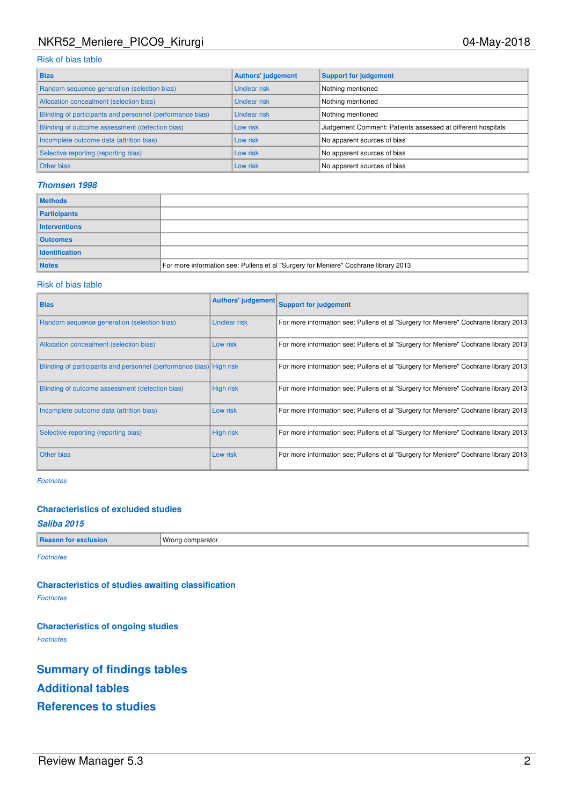# NKR52\_Meniere\_PICO9\_Kirurgi 04-May-2018

## Risk of bias table

| <b>Bias</b>                                               | <b>Authors' judgement</b> | <b>Support for judgement</b>                                |
|-----------------------------------------------------------|---------------------------|-------------------------------------------------------------|
| Random sequence generation (selection bias)               | Unclear risk              | Nothing mentioned                                           |
| Allocation concealment (selection bias)                   | Unclear risk              | Nothing mentioned                                           |
| Blinding of participants and personnel (performance bias) | Unclear risk              | Nothing mentioned                                           |
| Blinding of outcome assessment (detection bias)           | Low risk                  | Judgement Comment: Patients assessed at different hospitals |
| Incomplete outcome data (attrition bias)                  | Low risk                  | No apparent sources of bias                                 |
| Selective reporting (reporting bias)                      | Low risk                  | No apparent sources of bias                                 |
| Other bias                                                | Low risk                  | No apparent sources of bias                                 |

## **Thomsen 1998**

| <b>Methods</b>        |                                                                                     |
|-----------------------|-------------------------------------------------------------------------------------|
| Participants          |                                                                                     |
| Interventions         |                                                                                     |
| <b>Outcomes</b>       |                                                                                     |
| <b>Identification</b> |                                                                                     |
| <b>Notes</b>          | For more information see: Pullens et al "Surgery for Meniere" Cochrane library 2013 |

#### Risk of bias table

| <b>Bias</b>                                                         |                  | Authors' judgement Support for judgement                                            |
|---------------------------------------------------------------------|------------------|-------------------------------------------------------------------------------------|
| Random sequence generation (selection bias)                         | Unclear risk     | For more information see: Pullens et al "Surgery for Meniere" Cochrane library 2013 |
| Allocation concealment (selection bias)                             | Low risk         | For more information see: Pullens et al "Surgery for Meniere" Cochrane library 2013 |
| Blinding of participants and personnel (performance bias) High risk |                  | For more information see: Pullens et al "Surgery for Meniere" Cochrane library 2013 |
| Blinding of outcome assessment (detection bias)                     | <b>High risk</b> | For more information see: Pullens et al "Surgery for Meniere" Cochrane library 2013 |
| Incomplete outcome data (attrition bias)                            | Low risk         | For more information see: Pullens et al "Surgery for Meniere" Cochrane library 2013 |
| Selective reporting (reporting bias)                                | <b>High risk</b> | For more information see: Pullens et al "Surgery for Meniere" Cochrane library 2013 |
| <b>Other bias</b>                                                   | Low risk         | For more information see: Pullens et al "Surgery for Meniere" Cochrane library 2013 |

Footnotes

## **Characteristics of excluded studies**

## **Saliba 2015**

**Reason for exclusion** Wrong comparator

Footnotes

**Characteristics of studies awaiting classification** Footnotes

**Characteristics of ongoing studies** Footnotes

**Summary of findings tables Additional tables References to studies**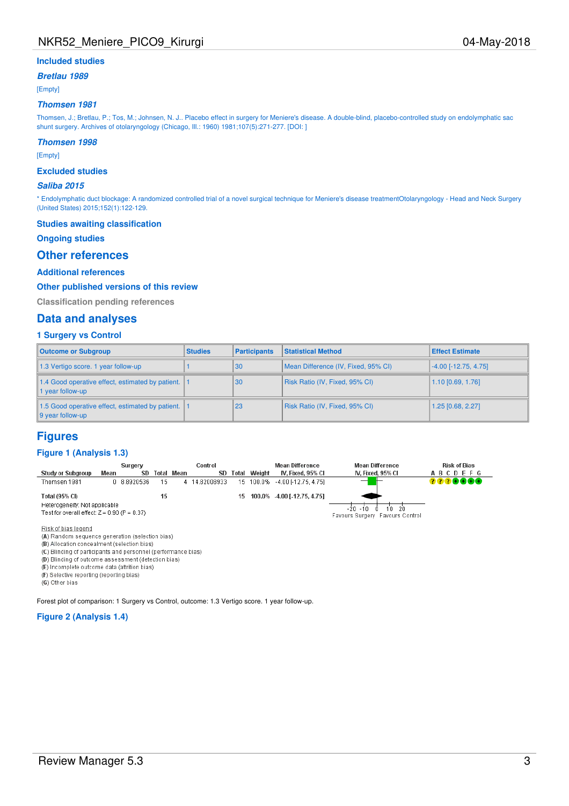## **Included studies**

**Bretlau 1989**

[Empty]

#### **Thomsen 1981**

Thomsen, J.; Bretlau, P.; Tos, M.; Johnsen, N. J.. Placebo effect in surgery for Meniere's disease. A double-blind, placebo-controlled study on endolymphatic sac shunt surgery. Archives of otolaryngology (Chicago, Ill.: 1960) 1981;107(5):271-277. [DOI: ]

## **Thomsen 1998**

[Empty]

#### **Excluded studies**

#### **Saliba 2015**

\* Endolymphatic duct blockage: A randomized controlled trial of a novel surgical technique for Meniere's disease treatmentOtolaryngology - Head and Neck Surgery (United States) 2015;152(1):122-129.

#### **Studies awaiting classification**

#### **Ongoing studies**

## **Other references**

### **Additional references**

#### **Other published versions of this review**

**Classification pending references**

### **Data and analyses**

### **1 Surgery vs Control**

| <b>Outcome or Subgroup</b>                                                         | <b>Studies</b> | <b>Participants</b> | <b>Statistical Method</b>           | <b>Effect Estimate</b> |
|------------------------------------------------------------------------------------|----------------|---------------------|-------------------------------------|------------------------|
| 1.3 Vertigo score. 1 year follow-up                                                |                | 30                  | Mean Difference (IV, Fixed, 95% CI) | $-4.00$ [-12.75, 4.75] |
| 1.4 Good operative effect, estimated by patient.  <br>I year follow-up             |                | 30                  | Risk Ratio (IV, Fixed, 95% CI)      | 1.10 [0.69, 1.76]      |
| 1.5 Good operative effect, estimated by patient.  <br>$\parallel$ 9 year follow-up |                | 23                  | Risk Ratio (IV, Fixed, 95% CI)      | 1.25 [0.68, 2.27]      |

## **Figures**

#### **Figure 1 (Analysis 1.3)**

|                                                                                                   |      | Surgery     |    |            | Control       |       |        | Mean Difference                | <b>Mean Difference</b>                                          | <b>Risk of Bias</b> |
|---------------------------------------------------------------------------------------------------|------|-------------|----|------------|---------------|-------|--------|--------------------------------|-----------------------------------------------------------------|---------------------|
| <b>Study or Subgroup</b>                                                                          | Mean | SD          |    | Total Mean | SD            | Total | Weight | IV. Fixed. 95% Cl              | IV. Fixed, 95% CI                                               | <b>ABCDEFG</b>      |
| Thomsen 1981                                                                                      |      | 0 8.8920536 | 15 |            | 4 14.82008933 |       |        | 15 100.0% -4.00 [-12.75, 4.75] | $\overline{\phantom{a}}$                                        | 2228888             |
| Total (95% CI)<br>Heterogeneity: Not applicable<br>Test for overall effect: $Z = 0.90$ (P = 0.37) |      |             | 15 |            |               | 15.   |        | 100.0% -4.00 [-12.75, 4.75]    | $-20 - 10$<br>$10-20$<br>- A<br>Favours Surgery Favours Control |                     |
| Figure 1. And the figure 1. And the set of                                                        |      |             |    |            |               |       |        |                                |                                                                 |                     |

Risk of bias legend

(A) Random sequence generation (selection bias)

(B) Allocation concealment (selection bias)

(C) Blinding of participants and personnel (performance bias) (D) Blinding of outcome assessment (detection bias)

(E) Incomplete outcome data (attrition bias)

(F) Selective reporting (reporting bias)

(G) Other bias

Forest plot of comparison: 1 Surgery vs Control, outcome: 1.3 Vertigo score. 1 year follow-up.

#### **Figure 2 (Analysis 1.4)**